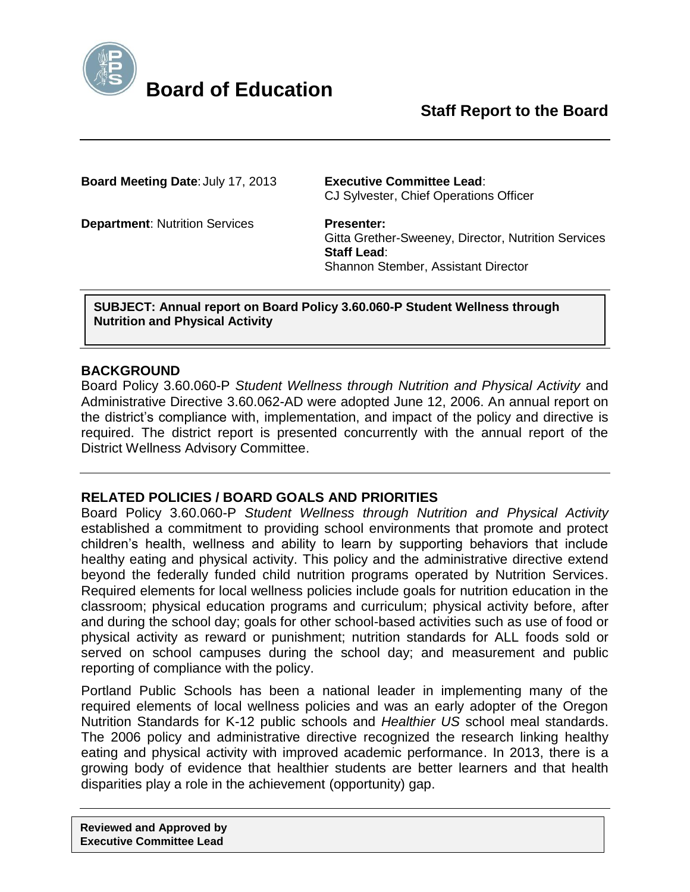

**Board Meeting Date**: July 17, 2013 **Executive Committee Lead**: CJ Sylvester, Chief Operations Officer

**Department: Nutrition Services Presenter:** 

Gitta Grether-Sweeney, Director, Nutrition Services **Staff Lead**: Shannon Stember, Assistant Director

**SUBJECT: Annual report on Board Policy 3.60.060-P Student Wellness through Nutrition and Physical Activity**

### **BACKGROUND**

Board Policy 3.60.060-P *Student Wellness through Nutrition and Physical Activity* and Administrative Directive 3.60.062-AD were adopted June 12, 2006. An annual report on the district's compliance with, implementation, and impact of the policy and directive is required. The district report is presented concurrently with the annual report of the District Wellness Advisory Committee.

# **RELATED POLICIES / BOARD GOALS AND PRIORITIES**

Board Policy 3.60.060-P *Student Wellness through Nutrition and Physical Activity* established a commitment to providing school environments that promote and protect children's health, wellness and ability to learn by supporting behaviors that include healthy eating and physical activity. This policy and the administrative directive extend beyond the federally funded child nutrition programs operated by Nutrition Services. Required elements for local wellness policies include goals for nutrition education in the classroom; physical education programs and curriculum; physical activity before, after and during the school day; goals for other school-based activities such as use of food or physical activity as reward or punishment; nutrition standards for ALL foods sold or served on school campuses during the school day; and measurement and public reporting of compliance with the policy.

Portland Public Schools has been a national leader in implementing many of the required elements of local wellness policies and was an early adopter of the Oregon Nutrition Standards for K-12 public schools and *Healthier US* school meal standards. The 2006 policy and administrative directive recognized the research linking healthy eating and physical activity with improved academic performance. In 2013, there is a growing body of evidence that healthier students are better learners and that health disparities play a role in the achievement (opportunity) gap.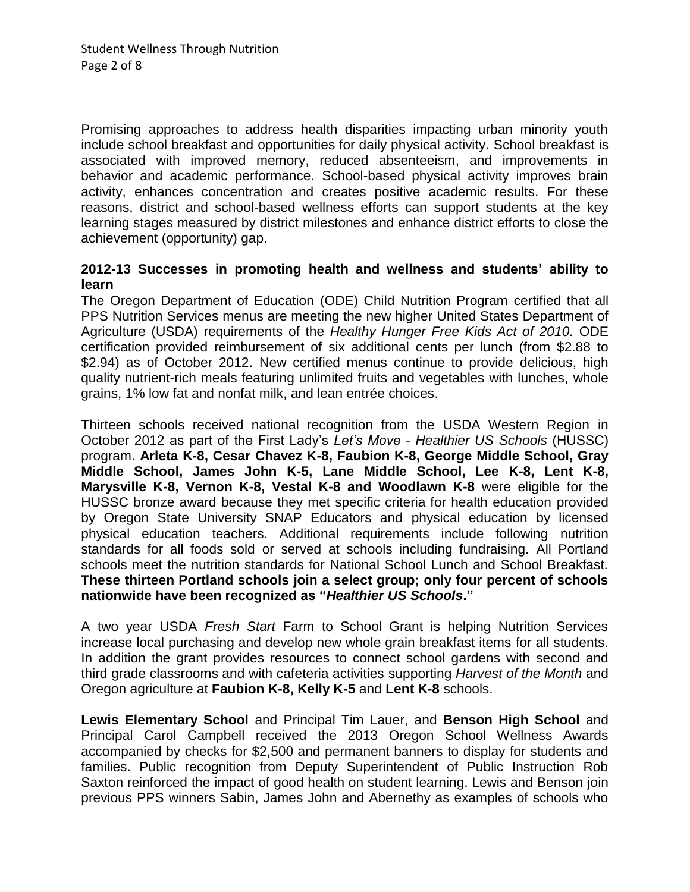Promising approaches to address health disparities impacting urban minority youth include school breakfast and opportunities for daily physical activity. School breakfast is associated with improved memory, reduced absenteeism, and improvements in behavior and academic performance. School-based physical activity improves brain activity, enhances concentration and creates positive academic results. For these reasons, district and school-based wellness efforts can support students at the key learning stages measured by district milestones and enhance district efforts to close the achievement (opportunity) gap.

## **2012-13 Successes in promoting health and wellness and students' ability to learn**

The Oregon Department of Education (ODE) Child Nutrition Program certified that all PPS Nutrition Services menus are meeting the new higher United States Department of Agriculture (USDA) requirements of the *Healthy Hunger Free Kids Act of 2010.* ODE certification provided reimbursement of six additional cents per lunch (from \$2.88 to \$2.94) as of October 2012. New certified menus continue to provide delicious, high quality nutrient-rich meals featuring unlimited fruits and vegetables with lunches, whole grains, 1% low fat and nonfat milk, and lean entrée choices.

Thirteen schools received national recognition from the USDA Western Region in October 2012 as part of the First Lady's *Let's Move* - *Healthier US Schools* (HUSSC) program. **Arleta K-8, Cesar Chavez K-8, Faubion K-8, George Middle School, Gray Middle School, James John K-5, Lane Middle School, Lee K-8, Lent K-8, Marysville K-8, Vernon K-8, Vestal K-8 and Woodlawn K-8** were eligible for the HUSSC bronze award because they met specific criteria for health education provided by Oregon State University SNAP Educators and physical education by licensed physical education teachers. Additional requirements include following nutrition standards for all foods sold or served at schools including fundraising. All Portland schools meet the nutrition standards for National School Lunch and School Breakfast. **These thirteen Portland schools join a select group; only four percent of schools nationwide have been recognized as "***Healthier US Schools***."**

A two year USDA *Fresh Start* Farm to School Grant is helping Nutrition Services increase local purchasing and develop new whole grain breakfast items for all students. In addition the grant provides resources to connect school gardens with second and third grade classrooms and with cafeteria activities supporting *Harvest of the Month* and Oregon agriculture at **Faubion K-8, Kelly K-5** and **Lent K-8** schools.

**Lewis Elementary School** and Principal Tim Lauer, and **Benson High School** and Principal Carol Campbell received the 2013 Oregon School Wellness Awards accompanied by checks for \$2,500 and permanent banners to display for students and families. Public recognition from Deputy Superintendent of Public Instruction Rob Saxton reinforced the impact of good health on student learning. Lewis and Benson join previous PPS winners Sabin, James John and Abernethy as examples of schools who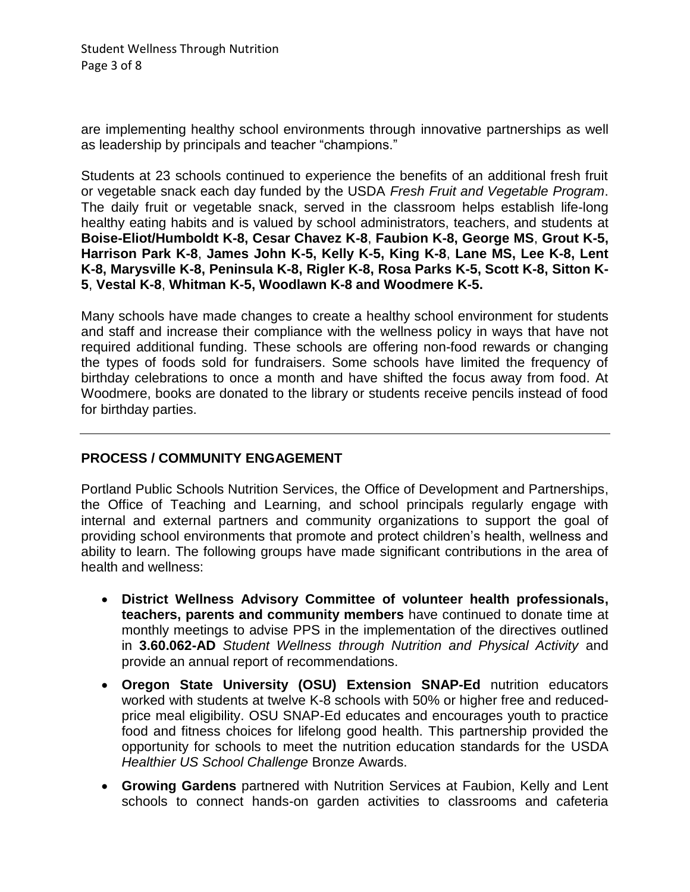Student Wellness Through Nutrition Page 3 of 8

are implementing healthy school environments through innovative partnerships as well as leadership by principals and teacher "champions."

Students at 23 schools continued to experience the benefits of an additional fresh fruit or vegetable snack each day funded by the USDA *Fresh Fruit and Vegetable Program*. The daily fruit or vegetable snack, served in the classroom helps establish life-long healthy eating habits and is valued by school administrators, teachers, and students at **Boise-Eliot/Humboldt K-8, Cesar Chavez K-8**, **Faubion K-8, George MS**, **Grout K-5, Harrison Park K-8**, **James John K-5, Kelly K-5, King K-8**, **Lane MS, Lee K-8, Lent K-8, Marysville K-8, Peninsula K-8, Rigler K-8, Rosa Parks K-5, Scott K-8, Sitton K-5**, **Vestal K-8**, **Whitman K-5, Woodlawn K-8 and Woodmere K-5.**

Many schools have made changes to create a healthy school environment for students and staff and increase their compliance with the wellness policy in ways that have not required additional funding. These schools are offering non-food rewards or changing the types of foods sold for fundraisers. Some schools have limited the frequency of birthday celebrations to once a month and have shifted the focus away from food. At Woodmere, books are donated to the library or students receive pencils instead of food for birthday parties.

### **PROCESS / COMMUNITY ENGAGEMENT**

Portland Public Schools Nutrition Services, the Office of Development and Partnerships, the Office of Teaching and Learning, and school principals regularly engage with internal and external partners and community organizations to support the goal of providing school environments that promote and protect children's health, wellness and ability to learn. The following groups have made significant contributions in the area of health and wellness:

- **District Wellness Advisory Committee of volunteer health professionals, teachers, parents and community members** have continued to donate time at monthly meetings to advise PPS in the implementation of the directives outlined in **3.60.062-AD** *Student Wellness through Nutrition and Physical Activity* and provide an annual report of recommendations.
- **Oregon State University (OSU) Extension SNAP-Ed** nutrition educators worked with students at twelve K-8 schools with 50% or higher free and reducedprice meal eligibility. OSU SNAP-Ed educates and encourages youth to practice food and fitness choices for lifelong good health. This partnership provided the opportunity for schools to meet the nutrition education standards for the USDA *Healthier US School Challenge* Bronze Awards.
- **Growing Gardens** partnered with Nutrition Services at Faubion, Kelly and Lent schools to connect hands-on garden activities to classrooms and cafeteria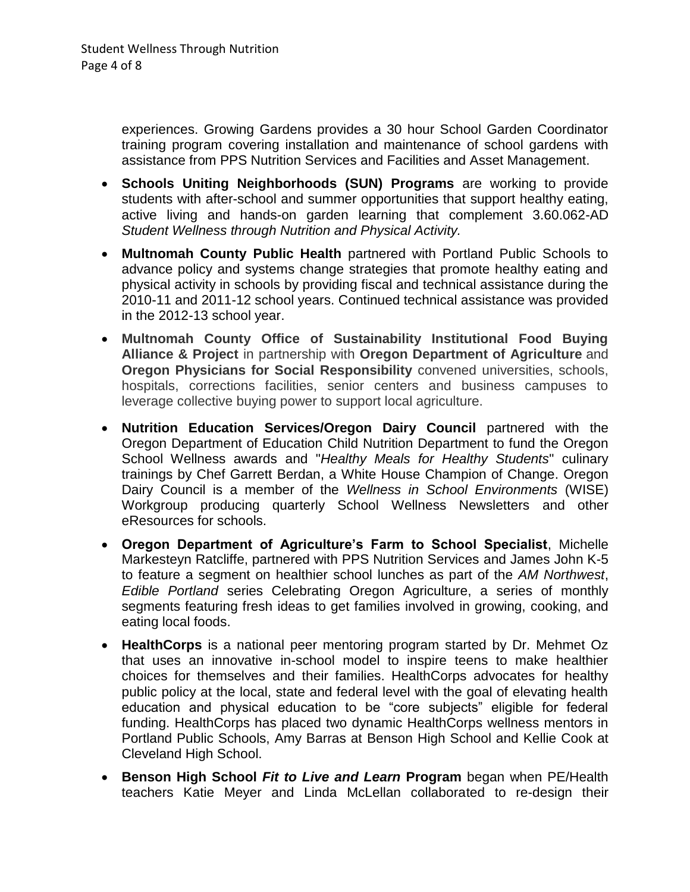experiences. Growing Gardens provides a 30 hour School Garden Coordinator training program covering installation and maintenance of school gardens with assistance from PPS Nutrition Services and Facilities and Asset Management.

- **Schools Uniting Neighborhoods (SUN) Programs** are working to provide students with after-school and summer opportunities that support healthy eating, active living and hands-on garden learning that complement 3.60.062-AD *Student Wellness through Nutrition and Physical Activity.*
- **Multnomah County Public Health** partnered with Portland Public Schools to advance policy and systems change strategies that promote healthy eating and physical activity in schools by providing fiscal and technical assistance during the 2010-11 and 2011-12 school years. Continued technical assistance was provided in the 2012-13 school year.
- **Multnomah County Office of Sustainability Institutional Food Buying Alliance & Project** in partnership with **Oregon Department of Agriculture** and **Oregon Physicians for Social Responsibility** convened universities, schools, hospitals, corrections facilities, senior centers and business campuses to leverage collective buying power to support local agriculture.
- **Nutrition Education Services/Oregon Dairy Council** partnered with the Oregon Department of Education Child Nutrition Department to fund the Oregon School Wellness awards and "*Healthy Meals for Healthy Students*" culinary trainings by Chef Garrett Berdan, a White House Champion of Change. Oregon Dairy Council is a member of the *Wellness in School Environments* (WISE) Workgroup producing quarterly School Wellness Newsletters and other eResources for schools.
- **Oregon Department of Agriculture's Farm to School Specialist**, Michelle Markesteyn Ratcliffe, partnered with PPS Nutrition Services and James John K-5 to feature a segment on healthier school lunches as part of the *AM Northwest*, *Edible Portland* series Celebrating Oregon Agriculture, a series of monthly segments featuring fresh ideas to get families involved in growing, cooking, and eating local foods.
- **HealthCorps** is a national peer mentoring program started by Dr. Mehmet Oz that uses an innovative in-school model to inspire teens to make healthier choices for themselves and their families. HealthCorps advocates for healthy public policy at the local, state and federal level with the goal of elevating health education and physical education to be "core subjects" eligible for federal funding. HealthCorps has placed two dynamic HealthCorps wellness mentors in Portland Public Schools, Amy Barras at Benson High School and Kellie Cook at Cleveland High School.
- **Benson High School** *Fit to Live and Learn* **Program** began when PE/Health teachers Katie Meyer and Linda McLellan collaborated to re-design their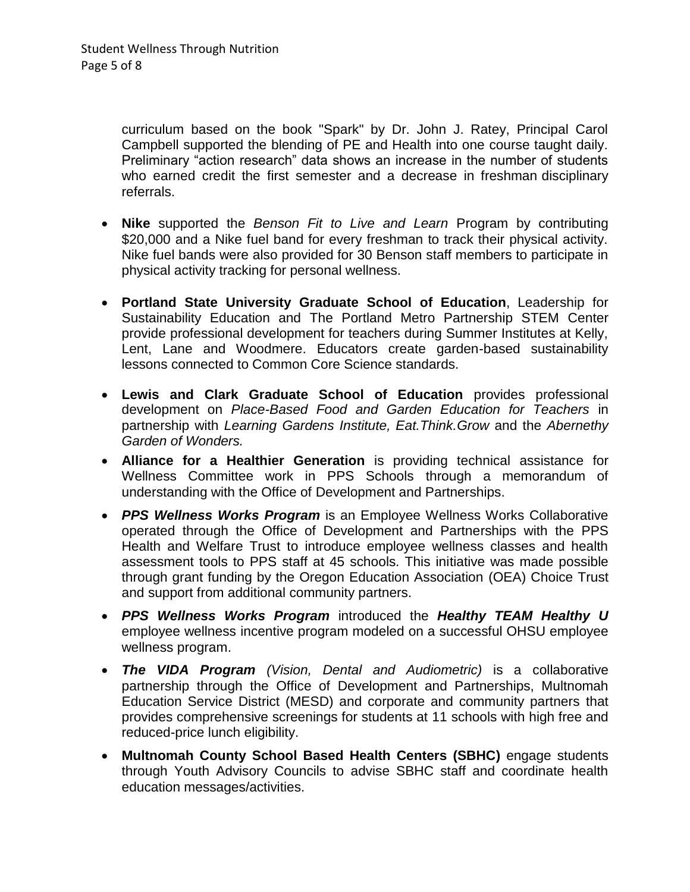curriculum based on the book "Spark" by Dr. John J. Ratey, Principal Carol Campbell supported the blending of PE and Health into one course taught daily. Preliminary "action research" data shows an increase in the number of students who earned credit the first semester and a decrease in freshman disciplinary referrals.

- **Nike** supported the *Benson Fit to Live and Learn* Program by contributing \$20,000 and a Nike fuel band for every freshman to track their physical activity. Nike fuel bands were also provided for 30 Benson staff members to participate in physical activity tracking for personal wellness.
- **Portland State University Graduate School of Education**, Leadership for Sustainability Education and The Portland Metro Partnership STEM Center provide professional development for teachers during Summer Institutes at Kelly, Lent, Lane and Woodmere. Educators create garden-based sustainability lessons connected to Common Core Science standards.
- **Lewis and Clark Graduate School of Education** provides professional development on *Place-Based Food and Garden Education for Teachers* in partnership with *Learning Gardens Institute, Eat.Think.Grow* and the *Abernethy Garden of Wonders.*
- **Alliance for a Healthier Generation** is providing technical assistance for Wellness Committee work in PPS Schools through a memorandum of understanding with the Office of Development and Partnerships.
- *PPS Wellness Works Program* is an Employee Wellness Works Collaborative operated through the Office of Development and Partnerships with the PPS Health and Welfare Trust to introduce employee wellness classes and health assessment tools to PPS staff at 45 schools. This initiative was made possible through grant funding by the Oregon Education Association (OEA) Choice Trust and support from additional community partners.
- *PPS Wellness Works Program* introduced the *Healthy TEAM Healthy U* employee wellness incentive program modeled on a successful OHSU employee wellness program.
- *The VIDA Program (Vision, Dental and Audiometric)* is a collaborative partnership through the Office of Development and Partnerships, Multnomah Education Service District (MESD) and corporate and community partners that provides comprehensive screenings for students at 11 schools with high free and reduced-price lunch eligibility.
- **Multnomah County School Based Health Centers (SBHC)** engage students through Youth Advisory Councils to advise SBHC staff and coordinate health education messages/activities.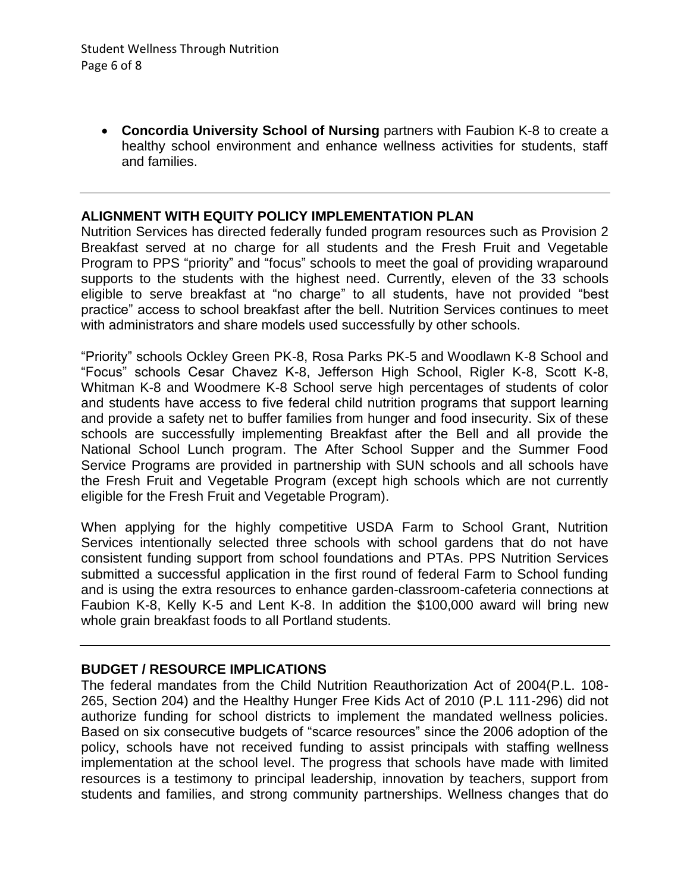**Concordia University School of Nursing** partners with Faubion K-8 to create a healthy school environment and enhance wellness activities for students, staff and families.

#### **ALIGNMENT WITH EQUITY POLICY IMPLEMENTATION PLAN**

Nutrition Services has directed federally funded program resources such as Provision 2 Breakfast served at no charge for all students and the Fresh Fruit and Vegetable Program to PPS "priority" and "focus" schools to meet the goal of providing wraparound supports to the students with the highest need. Currently, eleven of the 33 schools eligible to serve breakfast at "no charge" to all students, have not provided "best practice" access to school breakfast after the bell. Nutrition Services continues to meet with administrators and share models used successfully by other schools.

"Priority" schools Ockley Green PK-8, Rosa Parks PK-5 and Woodlawn K-8 School and "Focus" schools Cesar Chavez K-8, Jefferson High School, Rigler K-8, Scott K-8, Whitman K-8 and Woodmere K-8 School serve high percentages of students of color and students have access to five federal child nutrition programs that support learning and provide a safety net to buffer families from hunger and food insecurity. Six of these schools are successfully implementing Breakfast after the Bell and all provide the National School Lunch program. The After School Supper and the Summer Food Service Programs are provided in partnership with SUN schools and all schools have the Fresh Fruit and Vegetable Program (except high schools which are not currently eligible for the Fresh Fruit and Vegetable Program).

When applying for the highly competitive USDA Farm to School Grant, Nutrition Services intentionally selected three schools with school gardens that do not have consistent funding support from school foundations and PTAs. PPS Nutrition Services submitted a successful application in the first round of federal Farm to School funding and is using the extra resources to enhance garden-classroom-cafeteria connections at Faubion K-8, Kelly K-5 and Lent K-8. In addition the \$100,000 award will bring new whole grain breakfast foods to all Portland students.

#### **BUDGET / RESOURCE IMPLICATIONS**

The federal mandates from the Child Nutrition Reauthorization Act of 2004(P.L. 108- 265, Section 204) and the Healthy Hunger Free Kids Act of 2010 (P.L 111-296) did not authorize funding for school districts to implement the mandated wellness policies. Based on six consecutive budgets of "scarce resources" since the 2006 adoption of the policy, schools have not received funding to assist principals with staffing wellness implementation at the school level. The progress that schools have made with limited resources is a testimony to principal leadership, innovation by teachers, support from students and families, and strong community partnerships. Wellness changes that do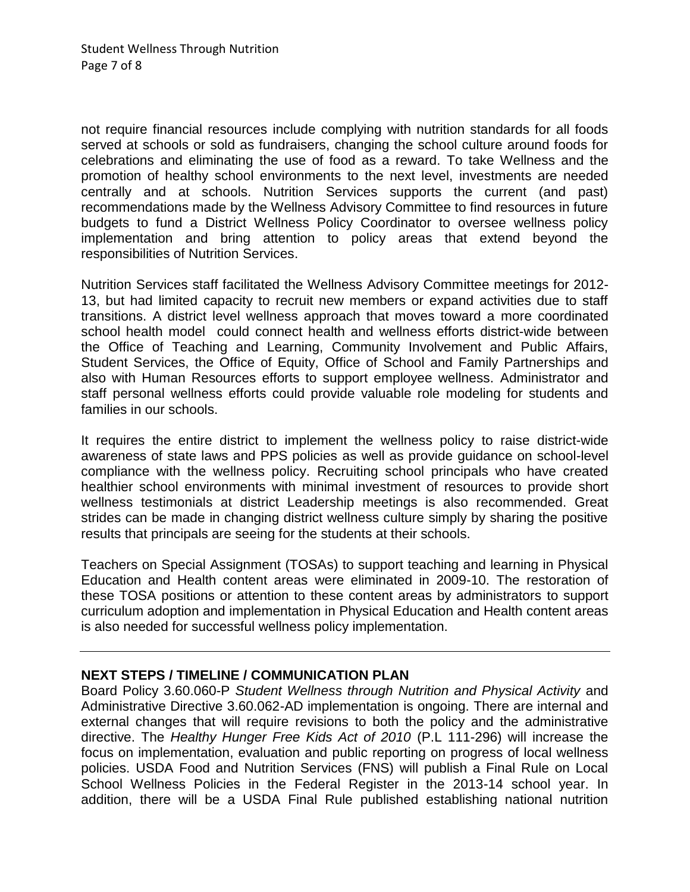not require financial resources include complying with nutrition standards for all foods served at schools or sold as fundraisers, changing the school culture around foods for celebrations and eliminating the use of food as a reward. To take Wellness and the promotion of healthy school environments to the next level, investments are needed centrally and at schools. Nutrition Services supports the current (and past) recommendations made by the Wellness Advisory Committee to find resources in future budgets to fund a District Wellness Policy Coordinator to oversee wellness policy implementation and bring attention to policy areas that extend beyond the responsibilities of Nutrition Services.

Nutrition Services staff facilitated the Wellness Advisory Committee meetings for 2012- 13, but had limited capacity to recruit new members or expand activities due to staff transitions. A district level wellness approach that moves toward a more coordinated school health model could connect health and wellness efforts district-wide between the Office of Teaching and Learning, Community Involvement and Public Affairs, Student Services, the Office of Equity, Office of School and Family Partnerships and also with Human Resources efforts to support employee wellness. Administrator and staff personal wellness efforts could provide valuable role modeling for students and families in our schools.

It requires the entire district to implement the wellness policy to raise district-wide awareness of state laws and PPS policies as well as provide guidance on school-level compliance with the wellness policy. Recruiting school principals who have created healthier school environments with minimal investment of resources to provide short wellness testimonials at district Leadership meetings is also recommended. Great strides can be made in changing district wellness culture simply by sharing the positive results that principals are seeing for the students at their schools.

Teachers on Special Assignment (TOSAs) to support teaching and learning in Physical Education and Health content areas were eliminated in 2009-10. The restoration of these TOSA positions or attention to these content areas by administrators to support curriculum adoption and implementation in Physical Education and Health content areas is also needed for successful wellness policy implementation.

### **NEXT STEPS / TIMELINE / COMMUNICATION PLAN**

Board Policy 3.60.060-P *Student Wellness through Nutrition and Physical Activity* and Administrative Directive 3.60.062-AD implementation is ongoing. There are internal and external changes that will require revisions to both the policy and the administrative directive. The *Healthy Hunger Free Kids Act of 2010* (P.L 111-296) will increase the focus on implementation, evaluation and public reporting on progress of local wellness policies. USDA Food and Nutrition Services (FNS) will publish a Final Rule on Local School Wellness Policies in the Federal Register in the 2013-14 school year. In addition, there will be a USDA Final Rule published establishing national nutrition